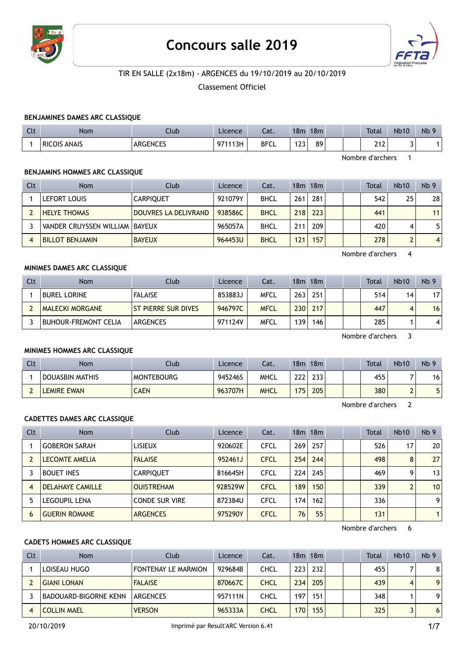

# Concours salle 2019



## TIR EN SALLE (2x18m) - ARGENCES du 19/10/2019 au 20/10/2019

Classement Officiel

#### BENJAMINES DAMES ARC CLASSIQUE

| Clt | <b>Nom</b>             | .lub            | Licence | Cat.        | 18 <sub>m</sub>                                | 18 <sub>m</sub> |  | <b>Total</b> | <b>Nb10</b> | <b>N<sub>b</sub></b> |
|-----|------------------------|-----------------|---------|-------------|------------------------------------------------|-----------------|--|--------------|-------------|----------------------|
|     | ANAIS<br><b>RICOIS</b> | <b>ARGENCES</b> | 971113H | <b>BFCL</b> | 122<br>ـ ــ<br>the contract of the contract of | 89              |  | 242<br>ZIZ'  |             |                      |

Nombre d'archers 1

#### BENJAMINS HOMMES ARC CLASSIQUE

| Clt | <b>Nom</b>                       | Club                 | Licence | Cat.        |     | $18m$ 18 $m$ |  | Total | <b>Nb10</b> | Nb <sub>9</sub> |
|-----|----------------------------------|----------------------|---------|-------------|-----|--------------|--|-------|-------------|-----------------|
|     | LEFORT LOUIS                     | <b>CARPIOUET</b>     | 921079Y | <b>BHCL</b> | 261 | 281          |  | 542   | 25          | 28              |
|     | <b>HELYE THOMAS</b>              | DOUVRES LA DELIVRAND | 938586C | <b>BHCL</b> | 218 | 223          |  | 441   |             | 11              |
|     | VANDER CRUYSSEN WILLIAM   BAYEUX |                      | 965057A | <b>BHCL</b> | 211 | 209          |  | 420   |             | 5               |
|     | <b>BILLOT BENJAMIN</b>           | <b>BAYEUX</b>        | 964453U | <b>BHCL</b> | 121 | 157          |  | 278   |             | $\vert 4 \vert$ |

Nombre d'archers 4

#### MINIMES DAMES ARC CLASSIQUE

| Clt | Nom                         | Club                | Licence | Cat.        | 18m              | 18m |  | Total | <b>Nb10</b> | Nb <sub>9</sub> |
|-----|-----------------------------|---------------------|---------|-------------|------------------|-----|--|-------|-------------|-----------------|
|     | <b>BUREL LORINE</b>         | <b>FALAISE</b>      | 853883J | <b>MFCL</b> | 263 <sub>1</sub> | 251 |  | 514   | 14          | 17              |
|     | <b>MALECKI MORGANE</b>      | ST PIERRE SUR DIVES | 946797C | <b>MFCL</b> | 230              | 217 |  | 447   |             | 16 <sub>1</sub> |
|     | <b>BUHOUR-FREMONT CELIA</b> | ARGENCES            | 971124V | <b>MFCL</b> | 139              | 146 |  | 285   |             |                 |

Nombre d'archers 3

#### MINIMES HOMMES ARC CLASSIQUE

| Clt | Nom             | Club              | Licence | Cat.        | 18m        | 18m              |  | <b>Total</b> | <b>Nb10</b> | Nb <sub>9</sub> |
|-----|-----------------|-------------------|---------|-------------|------------|------------------|--|--------------|-------------|-----------------|
|     | DOUASBIN MATHIS | <b>MONTEBOURG</b> | 945246S | MHCL        | ววว<br>LLL | 233              |  | 455          |             | 16              |
|     | LEMIRE EWAN     | <b>CAEN</b>       | 963707H | <b>MHCL</b> | 175        | 205 <sub>1</sub> |  | 380          |             | 5 <sub>1</sub>  |

Nombre d'archers 2

#### CADETTES DAMES ARC CLASSIQUE

| <b>Clt</b> | Nom                     | Club                  | Licence | Cat.        |                 | 18m 18m |  | <b>Total</b> | <b>Nb10</b> | Nb <sub>9</sub> |
|------------|-------------------------|-----------------------|---------|-------------|-----------------|---------|--|--------------|-------------|-----------------|
|            | <b>GOBERON SARAH</b>    | <b>LISIEUX</b>        | 920602E | <b>CFCL</b> | 269             | 257     |  | 526          | 17          | 20 <sup>1</sup> |
|            | <b>LECOMTE AMELIA</b>   | <b>FALAISE</b>        | 952461J | <b>CFCL</b> | 254             | 244     |  | 498          | 8           | 27              |
|            | <b>BOUET INES</b>       | <b>CARPIQUET</b>      | 816645H | <b>CFCL</b> | 224             | 245     |  | 469          |             | 13              |
| 4          | <b>DELAHAYE CAMILLE</b> | <b>OUISTREHAM</b>     | 928529W | <b>CFCL</b> | 189             | 150     |  | 339          | 2           | 10              |
|            | <b>LEGOUPIL LENA</b>    | <b>CONDE SUR VIRE</b> | 872384U | <b>CFCL</b> | 174             | 162     |  | 336          |             | 9               |
| 6          | <b>GUERIN ROMANE</b>    | <b>ARGENCES</b>       | 975290Y | <b>CFCL</b> | 76 <sub>1</sub> | 55      |  | 131          |             | 1 <sup>1</sup>  |

Nombre d'archers 6

#### CADETS HOMMES ARC CLASSIQUE

| Clt | <b>Nom</b>                   | Club                       | Licence | Cat.        |     | 18m 18m |  | <b>Total</b> | <b>Nb10</b> | Nb <sub>9</sub> |
|-----|------------------------------|----------------------------|---------|-------------|-----|---------|--|--------------|-------------|-----------------|
|     | LOISEAU HUGO                 | <b>FONTENAY LE MARMION</b> | 929684B | CHCL        | 223 | 232     |  | 455          |             | 8               |
|     | <b>GIANI LONAN</b>           | <b>FALAISE</b>             | 870667C | <b>CHCL</b> | 234 | 205     |  | 439          | 4           | 9 <sup>1</sup>  |
|     | <b>BADOUARD-BIGORNE KENN</b> | <b>ARGENCES</b>            | 957111N | CHCL        | 197 | 151     |  | 348          |             | 9               |
|     | <b>COLLIN MAEL</b>           | <b>VERSON</b>              | 965333A | <b>CHCL</b> | 170 | 155     |  | 325          |             | 6 <sup>1</sup>  |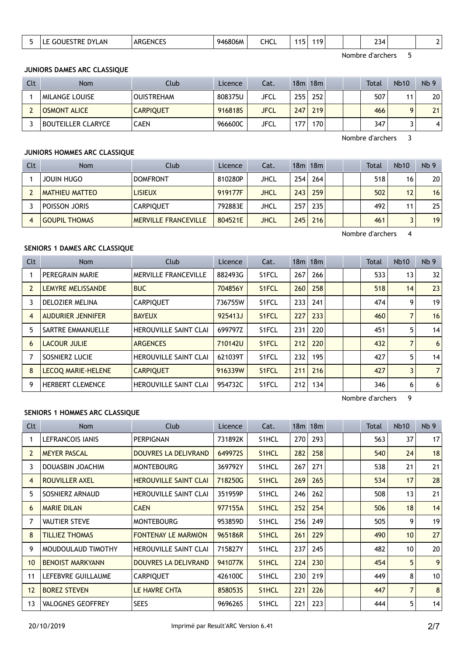|  |  | $\sim$<br>--<br><b>A A I</b><br>יצט<br>7LAN<br>יט<br>'NL | <b>ARGENCES</b> | 16806M<br>946 | CHCL |  | $\overline{A}$ |  |  | ≺⊿<br>--<br>$\sim$ |  |  |
|--|--|----------------------------------------------------------|-----------------|---------------|------|--|----------------|--|--|--------------------|--|--|
|--|--|----------------------------------------------------------|-----------------|---------------|------|--|----------------|--|--|--------------------|--|--|

#### JUNIORS DAMES ARC CLASSIQUE

| Clt | <b>Nom</b>          | Club              | Licence | Cat.        | 18m | 18m |  | <b>Total</b> | <b>Nb10</b> | Nb <sub>9</sub> |
|-----|---------------------|-------------------|---------|-------------|-----|-----|--|--------------|-------------|-----------------|
|     | MILANGE LOUISE      | <b>OUISTREHAM</b> | 808375U | JFCL        | 255 | 252 |  | 507          |             | 20              |
|     | <b>OSMONT ALICE</b> | <b>CARPIQUET</b>  | 916818S | <b>JFCL</b> | 247 | 219 |  | 466          |             | 21              |
|     | BOUTEILLER CLARYCE  | <b>CAEN</b>       | 966600C | JFCL        | 177 | 170 |  | 347          |             | 4               |

Nombre d'archers 3

#### JUNIORS HOMMES ARC CLASSIQUE

| Clt | <b>Nom</b>            | Club                        | Licence | Cat.        |     | 18m 18m |  | Total | <b>Nb10</b> | Nb <sub>9</sub> |
|-----|-----------------------|-----------------------------|---------|-------------|-----|---------|--|-------|-------------|-----------------|
|     | JOUIN HUGO            | <b>DOMFRONT</b>             | 810280P | JHCL        | 254 | 264     |  | 518   | 16          | 20 <sub>1</sub> |
|     | <b>MATHIEU MATTEO</b> | <b>LISIEUX</b>              | 919177F | <b>JHCL</b> | 243 | 259     |  | 502   | 12          | 16              |
|     | POISSON JORIS         | <b>CARPIQUET</b>            | 792883E | JHCL        | 257 | 235     |  | 492   | 11          | 25 <sub>1</sub> |
|     | <b>GOUPIL THOMAS</b>  | <b>MERVILLE FRANCEVILLE</b> | 804521E | <b>JHCL</b> | 245 | 216     |  | 461   |             | 19 <sup>1</sup> |

Nombre d'archers 4

## SENIORS 1 DAMES ARC CLASSIQUE

| Clt            | Nom                       | Club                         | Licence | Cat.               |     | 18 <sub>m</sub> 18 <sub>m</sub> |  | <b>Total</b> | Nb10 | Nb <sub>9</sub> |
|----------------|---------------------------|------------------------------|---------|--------------------|-----|---------------------------------|--|--------------|------|-----------------|
|                | PEREGRAIN MARIE           | <b>MERVILLE FRANCEVILLE</b>  | 882493G | S1FCL              | 267 | 266                             |  | 533          | 13   | 32              |
| $\overline{2}$ | LEMYRE MELISSANDE         | <b>BUC</b>                   | 704856Y | S <sub>1</sub> FCL | 260 | 258                             |  | 518          | 14   | 23              |
| 3              | DELOZIER MELINA           | <b>CARPIQUET</b>             | 736755W | S1FCL              | 233 | 241                             |  | 474          | 9    | 19              |
| 4              | <b>AUDURIER JENNIFER</b>  | <b>BAYEUX</b>                | 925413J | S <sub>1</sub> FCL | 227 | 233                             |  | 460          |      | 16              |
| 5              | <b>SARTRE EMMANUELLE</b>  | <b>HEROUVILLE SAINT CLAI</b> | 699797Z | S1FCL              | 231 | 220                             |  | 451          | 5    | 14              |
| 6              | LACOUR JULIE              | <b>ARGENCES</b>              | 710142U | S <sub>1</sub> FCL | 212 | 220                             |  | 432          |      | 6               |
|                | SOSNIERZ LUCIE            | <b>HEROUVILLE SAINT CLAI</b> | 621039T | S1FCL              | 232 | 195                             |  | 427          | 5    | 14              |
| 8              | <b>LECOQ MARIE-HELENE</b> | <b>CARPIQUET</b>             | 916339W | S <sub>1</sub> FCL | 211 | 216                             |  | 427          | 3    | 7 <sup>1</sup>  |
| 9              | <b>HERBERT CLEMENCE</b>   | <b>HEROUVILLE SAINT CLAI</b> | 954732C | S1FCL              | 212 | 134                             |  | 346          | 6    | $6 \mid$        |

Nombre d'archers 9

#### SENIORS 1 HOMMES ARC CLASSIQUE

| Clt             | Nom                      | Club                         | Licence | Cat.               |     | 18m 18m |  | Total | <b>Nb10</b>    | Nb <sub>9</sub> |
|-----------------|--------------------------|------------------------------|---------|--------------------|-----|---------|--|-------|----------------|-----------------|
|                 | LEFRANCOIS IANIS         | <b>PERPIGNAN</b>             | 731892K | S <sub>1</sub> HCL | 270 | 293     |  | 563   | 37             | 17 <sup>1</sup> |
| $\overline{2}$  | <b>MEYER PASCAL</b>      | DOUVRES LA DELIVRAND         | 649972S | S <sub>1</sub> HCL | 282 | 258     |  | 540   | 24             | 18              |
| 3               | DOUASBIN JOACHIM         | <b>MONTEBOURG</b>            | 369792Y | S1HCL              | 267 | 271     |  | 538   | 21             | 21              |
| 4               | ROUVILLER AXEL           | <b>HEROUVILLE SAINT CLAI</b> | 718250G | S <sub>1</sub> HCL | 269 | 265     |  | 534   | 17             | 28              |
| 5               | SOSNIERZ ARNAUD          | <b>HEROUVILLE SAINT CLAI</b> | 351959P | S1HCL              | 246 | 262     |  | 508   | 13             | 21              |
| 6               | <b>MARIE DILAN</b>       | <b>CAEN</b>                  | 977155A | S <sub>1</sub> HCL | 252 | 254     |  | 506   | 18             | 14              |
| 7               | <b>VAUTIER STEVE</b>     | <b>MONTEBOURG</b>            | 953859D | S1HCL              | 256 | 249     |  | 505   | 9              | 19              |
| 8               | <b>TILLIEZ THOMAS</b>    | <b>FONTENAY LE MARMION</b>   | 965186R | S <sub>1</sub> HCL | 261 | 229     |  | 490   | 10             | 27              |
| 9               | MOUDOULAUD TIMOTHY       | <b>HEROUVILLE SAINT CLAI</b> | 715827Y | S1HCL              | 237 | 245     |  | 482   | 10             | 20              |
| 10 <sup>°</sup> | <b>BENOIST MARKYANN</b>  | DOUVRES LA DELIVRAND         | 941077K | S <sub>1</sub> HCL | 224 | 230     |  | 454   | 5              | 9 <sup>1</sup>  |
| 11              | LEFEBVRE GUILLAUME       | <b>CARPIQUET</b>             | 426100C | S1HCL              | 230 | 219     |  | 449   | 8              | 10              |
| 12              | <b>BOREZ STEVEN</b>      | LE HAVRE CHTA                | 8580535 | S <sub>1</sub> HCL | 221 | 226     |  | 447   | $\overline{7}$ | 8               |
| 13              | <b>VALOGNES GEOFFREY</b> | <b>SEES</b>                  | 969626S | S1HCL              | 221 | 223     |  | 444   | 5              | 14              |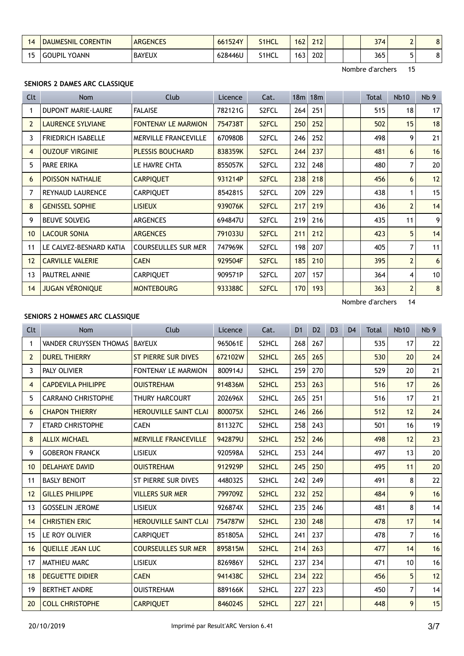| <b>DAUMESNIL CORENTIN</b> | <b>ARGENCES</b> | 661524Y | S1HCL | 162 | 242<br>LIL |  | 374 | ∽<br>- | ົ<br>٥ |
|---------------------------|-----------------|---------|-------|-----|------------|--|-----|--------|--------|
| YOANN<br><b>GOUPIL</b>    | <b>BAYEUX</b>   | 628446U | S1HCL | 163 | 202        |  | 365 |        | ິ<br>٥ |

#### SENIORS 2 DAMES ARC CLASSIQUE

| <b>Clt</b>     | Nom                       | <b>Club</b>                 | Licence | Cat.               |     | 18 <sub>m</sub> 18 <sub>m</sub> |  | Total | <b>Nb10</b>    | Nb <sub>9</sub> |
|----------------|---------------------------|-----------------------------|---------|--------------------|-----|---------------------------------|--|-------|----------------|-----------------|
|                | <b>DUPONT MARIE-LAURE</b> | <b>FALAISE</b>              | 782121G | S2FCL              | 264 | 251                             |  | 515   | 18             | 17              |
| $\overline{2}$ | <b>LAURENCE SYLVIANE</b>  | <b>FONTENAY LE MARMION</b>  | 754738T | S <sub>2</sub> FCL | 250 | 252                             |  | 502   | 15             | 18              |
| 3              | <b>FRIEDRICH ISABELLE</b> | <b>MERVILLE FRANCEVILLE</b> | 670980B | S2FCL              | 246 | 252                             |  | 498   | 9              | 21              |
| 4              | <b>OUZOUF VIRGINIE</b>    | <b>PLESSIS BOUCHARD</b>     | 838359K | S <sub>2</sub> FCL | 244 | 237                             |  | 481   | 6              | 16              |
| 5              | PARE ERIKA                | LE HAVRE CHTA               | 855057K | S2FCL              | 232 | 248                             |  | 480   | 7              | 20              |
| 6              | <b>POISSON NATHALIE</b>   | <b>CARPIQUET</b>            | 931214P | S <sub>2</sub> FCL | 238 | 218                             |  | 456   | 6              | 12              |
| 7              | <b>REYNAUD LAURENCE</b>   | <b>CARPIQUET</b>            | 8542815 | S2FCL              | 209 | 229                             |  | 438   | 1              | 15              |
| 8              | <b>GENISSEL SOPHIE</b>    | <b>LISIEUX</b>              | 939076K | S <sub>2</sub> FCL | 217 | 219                             |  | 436   | $\overline{2}$ | 14              |
| 9              | <b>BEUVE SOLVEIG</b>      | <b>ARGENCES</b>             | 694847U | S2FCL              | 219 | 216                             |  | 435   | 11             | 9 <sup>1</sup>  |
| 10             | <b>LACOUR SONIA</b>       | <b>ARGENCES</b>             | 791033U | S <sub>2</sub> FCL | 211 | 212                             |  | 423   | 5              | 14              |
| 11             | LE CALVEZ-BESNARD KATIA   | <b>COURSEULLES SUR MER</b>  | 747969K | S2FCL              | 198 | 207                             |  | 405   | 7              | 11              |
| 12             | <b>CARVILLE VALERIE</b>   | <b>CAEN</b>                 | 929504F | S <sub>2</sub> FCL | 185 | 210                             |  | 395   | $\overline{2}$ | $6 \mid$        |
| 13             | PAUTREL ANNIE             | <b>CARPIQUET</b>            | 909571P | S2FCL              | 207 | 157                             |  | 364   | 4              | 10 <sup>1</sup> |
| 14             | <b>JUGAN VÉRONIQUE</b>    | <b>MONTEBOURG</b>           | 933388C | S <sub>2</sub> FCL | 170 | 193                             |  | 363   | $\overline{2}$ | 8 <sup>1</sup>  |

Nombre d'archers 14

## SENIORS 2 HOMMES ARC CLASSIQUE

| Clt            | <b>Nom</b>                | Club                         | Licence | Cat.               | D <sub>1</sub> | D <sub>2</sub> | D <sub>3</sub> | D <sub>4</sub> | Total | <b>Nb10</b> | Nb <sub>9</sub> |
|----------------|---------------------------|------------------------------|---------|--------------------|----------------|----------------|----------------|----------------|-------|-------------|-----------------|
| 1              | VANDER CRUYSSEN THOMAS    | <b>BAYEUX</b>                | 965061E | S2HCL              | 268            | 267            |                |                | 535   | 17          | 22              |
| $\overline{2}$ | <b>DUREL THIERRY</b>      | <b>ST PIERRE SUR DIVES</b>   | 672102W | S2HCL              | 265            | 265            |                |                | 530   | 20          | 24              |
| 3              | PALY OLIVIER              | FONTENAY LE MARMION          | 800914J | S2HCL              | 259            | 270            |                |                | 529   | 20          | 21              |
| 4              | <b>CAPDEVILA PHILIPPE</b> | <b>OUISTREHAM</b>            | 914836M | S2HCL              | 253            | 263            |                |                | 516   | 17          | 26              |
| 5              | <b>CARRANO CHRISTOPHE</b> | <b>THURY HARCOURT</b>        | 202696X | S2HCL              | 265            | 251            |                |                | 516   | 17          | 21              |
| 6              | <b>CHAPON THIERRY</b>     | <b>HEROUVILLE SAINT CLAI</b> | 800075X | S2HCL              | 246            | 266            |                |                | 512   | 12          | 24              |
| 7              | <b>ETARD CHRISTOPHE</b>   | <b>CAEN</b>                  | 811327C | S2HCL              | 258            | 243            |                |                | 501   | 16          | 19              |
| 8              | <b>ALLIX MICHAEL</b>      | <b>MERVILLE FRANCEVILLE</b>  | 942879U | S2HCL              | 252            | 246            |                |                | 498   | 12          | 23              |
| 9              | <b>GOBERON FRANCK</b>     | <b>LISIEUX</b>               | 920598A | S2HCL              | 253            | 244            |                |                | 497   | 13          | 20              |
| 10             | <b>DELAHAYE DAVID</b>     | <b>OUISTREHAM</b>            | 912929P | S <sub>2</sub> HCL | 245            | 250            |                |                | 495   | 11          | 20              |
| 11             | <b>BASLY BENOIT</b>       | ST PIERRE SUR DIVES          | 448032S | S2HCL              | 242            | 249            |                |                | 491   | 8           | 22              |
| 12             | <b>GILLES PHILIPPE</b>    | <b>VILLERS SUR MER</b>       | 799709Z | S2HCL              | 232            | 252            |                |                | 484   | 9           | 16              |
| 13             | <b>GOSSELIN JEROME</b>    | <b>LISIEUX</b>               | 926874X | S2HCL              | 235            | 246            |                |                | 481   | 8           | 14              |
| 14             | <b>CHRISTIEN ERIC</b>     | <b>HEROUVILLE SAINT CLAI</b> | 754787W | S2HCL              | 230            | 248            |                |                | 478   | 17          | 14              |
| 15             | LE ROY OLIVIER            | <b>CARPIQUET</b>             | 851805A | S2HCL              | 241            | 237            |                |                | 478   | 7           | 16              |
| 16             | <b>OUEILLE JEAN LUC</b>   | <b>COURSEULLES SUR MER</b>   | 895815M | S <sub>2</sub> HCL | 214            | 263            |                |                | 477   | 14          | 16              |
| 17             | <b>MATHIEU MARC</b>       | <b>LISIEUX</b>               | 826986Y | S2HCL              | 237            | 234            |                |                | 471   | 10          | 16              |
| 18             | <b>DEGUETTE DIDIER</b>    | <b>CAEN</b>                  | 941438C | S <sub>2</sub> HCL | 234            | 222            |                |                | 456   | 5           | 12              |
| 19             | <b>BERTHET ANDRE</b>      | <b>OUISTREHAM</b>            | 889166K | S2HCL              | 227            | 223            |                |                | 450   | 7           | 14              |
| 20             | <b>COLL CHRISTOPHE</b>    | <b>CARPIQUET</b>             | 846024S | S2HCL              | 227            | 221            |                |                | 448   | 9           | 15              |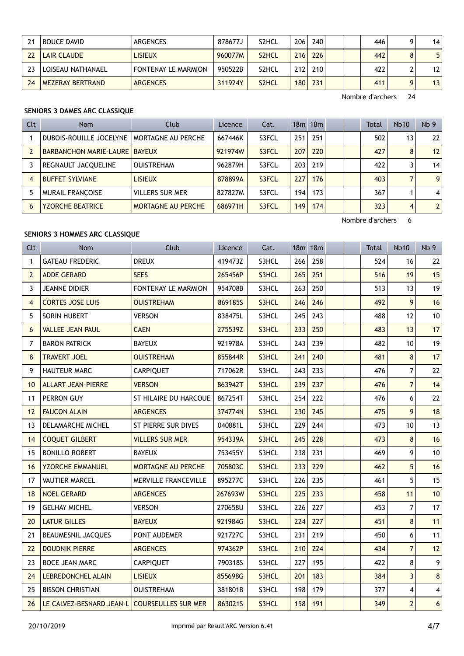| 24 | <b>BOUCE DAVID</b> | <b>ARGENCES</b>            | 878677J | S2HCL              | 206              | 240 |  | 446 | 4               |
|----|--------------------|----------------------------|---------|--------------------|------------------|-----|--|-----|-----------------|
| 22 | <b>LAIR CLAUDE</b> | <b>LISIEUX</b>             | 960077M | S <sub>2</sub> HCL | 216              | 226 |  | 442 | 5 <sup>1</sup>  |
| つつ | LOISEAU NATHANAEL  | <b>FONTENAY LE MARMION</b> | 950522B | S2HCL              | 212              | 210 |  | 422 | 12 <sup>1</sup> |
| 24 | MEZERAY BERTRAND   | <b>ARGENCES</b>            | 311924Y | S <sub>2</sub> HCL | 180 <sup>1</sup> | 231 |  | 411 | 13              |

## SENIORS 3 DAMES ARC CLASSIQUE

| Clt | Nom                                    | Club                   | Licence | Cat.  |     | 18m 18m |  | Total | <b>Nb10</b>    | Nb <sub>9</sub> |
|-----|----------------------------------------|------------------------|---------|-------|-----|---------|--|-------|----------------|-----------------|
|     | DUBOIS-ROUILLE JOCELYNE                | MORTAGNE AU PERCHE     | 667446K | S3FCL | 251 | 251     |  | 502   | 13             | 22              |
|     | <b>BARBANCHON MARIE-LAURE   BAYEUX</b> |                        | 921974W | S3FCL | 207 | 220     |  | 427   | 8              | 12              |
|     | REGNAULT JACQUELINE                    | <b>OUISTREHAM</b>      | 962879H | S3FCL | 203 | 219     |  | 422   |                | 14              |
|     | <b>BUFFET SYLVIANE</b>                 | <b>LISIEUX</b>         | 878899A | S3FCL | 227 | 176     |  | 403   |                | 9 <sub>1</sub>  |
|     | <b>MURAIL FRANCOISE</b>                | <b>VILLERS SUR MER</b> | 827827M | S3FCL | 194 | 173     |  | 367   |                | 4 <sup>1</sup>  |
| 6   | <b>YZORCHE BEATRICE</b>                | MORTAGNE AU PERCHE     | 686971H | S3FCL | 149 | 174     |  | 323   | $\overline{4}$ | 2 <sup>1</sup>  |

Nombre d'archers 6

## SENIORS 3 HOMMES ARC CLASSIQUE

| Clt             | <b>Nom</b>                                   | Club                      | Licence | Cat.  |     | 18m 18m | Total |     | <b>Nb10</b>    | Nb <sub>9</sub>         |
|-----------------|----------------------------------------------|---------------------------|---------|-------|-----|---------|-------|-----|----------------|-------------------------|
| $\mathbf{1}$    | <b>GATEAU FREDERIC</b>                       | <b>DREUX</b>              | 419473Z | S3HCL | 266 | 258     |       | 524 | 16             | 22                      |
| $\overline{2}$  | <b>ADDE GERARD</b>                           | <b>SEES</b>               | 265456P | S3HCL | 265 | 251     |       | 516 | 19             | 15                      |
| 3               | <b>JEANNE DIDIER</b>                         | FONTENAY LE MARMION       | 954708B | S3HCL | 263 | 250     |       | 513 | 13             | 19                      |
| 4               | <b>CORTES JOSE LUIS</b>                      | <b>OUISTREHAM</b>         | 869185S | S3HCL | 246 | 246     |       | 492 | 9              | 16                      |
| 5               | SORIN HUBERT                                 | <b>VERSON</b>             | 838475L | S3HCL | 245 | 243     |       | 488 | 12             | 10                      |
| 6               | <b>VALLEE JEAN PAUL</b>                      | <b>CAEN</b>               | 275539Z | S3HCL | 233 | 250     |       | 483 | 13             | 17                      |
| 7               | <b>BARON PATRICK</b>                         | <b>BAYEUX</b>             | 921978A | S3HCL | 243 | 239     |       | 482 | 10             | 19                      |
| 8               | <b>TRAVERT JOEL</b>                          | <b>OUISTREHAM</b>         | 855844R | S3HCL | 241 | 240     |       | 481 | 8              | 17                      |
| 9               | <b>HAUTEUR MARC</b>                          | <b>CARPIQUET</b>          | 717062R | S3HCL | 243 | 233     |       | 476 | $\overline{7}$ | 22                      |
| 10 <sup>1</sup> | <b>ALLART JEAN-PIERRE</b>                    | <b>VERSON</b>             | 863942T | S3HCL | 239 | 237     |       | 476 | $\overline{7}$ | 14                      |
| 11              | PERRON GUY                                   | ST HILAIRE DU HARCOUE     | 867254T | S3HCL | 254 | 222     |       | 476 | 6              | 22                      |
| 12              | <b>FAUCON ALAIN</b>                          | <b>ARGENCES</b>           | 374774N | S3HCL | 230 | 245     |       | 475 | 9              | 18                      |
| 13              | DELAMARCHE MICHEL                            | ST PIERRE SUR DIVES       | 040881L | S3HCL | 229 | 244     |       | 473 | 10             | 13                      |
| 14              | <b>COQUET GILBERT</b>                        | <b>VILLERS SUR MER</b>    | 954339A | S3HCL | 245 | 228     |       | 473 | 8              | 16                      |
| 15              | <b>BONILLO ROBERT</b>                        | <b>BAYEUX</b>             | 753455Y | S3HCL | 238 | 231     |       | 469 | 9              | 10                      |
| 16              | <b>YZORCHE EMMANUEL</b>                      | <b>MORTAGNE AU PERCHE</b> | 705803C | S3HCL | 233 | 229     |       | 462 | 5              | 16                      |
| 17              | <b>VAUTIER MARCEL</b>                        | MERVILLE FRANCEVILLE      | 895277C | S3HCL | 226 | 235     |       | 461 | 5              | 15                      |
| 18              | <b>NOEL GERARD</b>                           | <b>ARGENCES</b>           | 267693W | S3HCL | 225 | 233     |       | 458 | 11             | 10                      |
| 19              | <b>GELHAY MICHEL</b>                         | <b>VERSON</b>             | 270658U | S3HCL | 226 | 227     |       | 453 | $\overline{7}$ | 17                      |
| 20              | <b>LATUR GILLES</b>                          | <b>BAYEUX</b>             | 921984G | S3HCL | 224 | 227     |       | 451 | 8              | 11                      |
| 21              | BEAUMESNIL JACQUES                           | PONT AUDEMER              | 921727C | S3HCL | 231 | 219     |       | 450 | 6              | 11                      |
| 22              | <b>DOUDNIK PIERRE</b>                        | <b>ARGENCES</b>           | 974362P | S3HCL | 210 | 224     |       | 434 | $\overline{7}$ | 12                      |
| 23              | <b>BOCE JEAN MARC</b>                        | <b>CARPIQUET</b>          | 790318S | S3HCL | 227 | 195     |       | 422 | 8              | 9                       |
| 24              | <b>LEBREDONCHEL ALAIN</b>                    | <b>LISIEUX</b>            | 855698G | S3HCL | 201 | 183     |       | 384 | 3              | $\bf 8$                 |
| 25              | <b>BISSON CHRISTIAN</b>                      | <b>OUISTREHAM</b>         | 381801B | S3HCL | 198 | 179     |       | 377 | 4              | $\overline{\mathbf{4}}$ |
| 26              | LE CALVEZ-BESNARD JEAN-L COURSEULLES SUR MER |                           | 8630215 | S3HCL | 158 | 191     |       | 349 | $\overline{2}$ | $6\phantom{a}$          |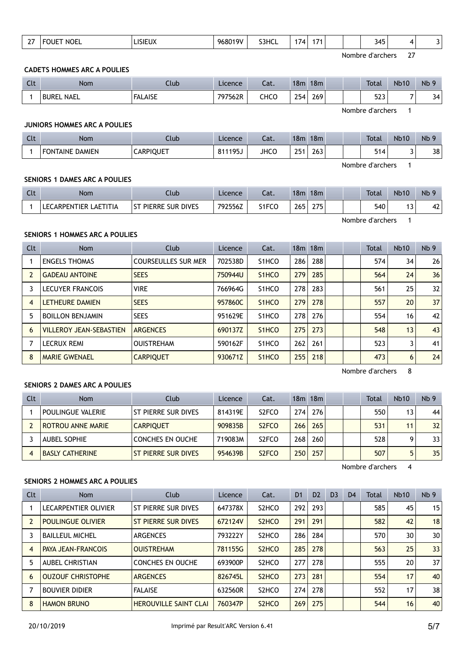|  | $\sim$ $-$<br>-- | <b>NOEL</b><br>11 I H | _ISIEUX | 101/<br>$\sim$<br>-968⊾ | S3HCL | . .<br>74 | . . |  |  | 345<br>__ |  |  |
|--|------------------|-----------------------|---------|-------------------------|-------|-----------|-----|--|--|-----------|--|--|
|--|------------------|-----------------------|---------|-------------------------|-------|-----------|-----|--|--|-----------|--|--|

#### CADETS HOMMES ARC A POULIES

| Clt | <b>Nom</b>        | Club           | Licence | ົາ <del>1</del><br>Jal. | 18m  | 18m |  | <b>Total</b>               | <b>Nb10</b>              | Nb <sub>9</sub> |
|-----|-------------------|----------------|---------|-------------------------|------|-----|--|----------------------------|--------------------------|-----------------|
|     | <b>BUREL NAEL</b> | <b>FALAISE</b> | 797562R | CHCO                    | 254. | 269 |  | $\mathbf{r}$<br>دےر<br>- - | $\overline{\phantom{0}}$ | 34              |

Nombre d'archers 1

#### JUNIORS HOMMES ARC A POULIES

| Clt | <b>Nom</b>                    | Jlub             | Licence                  | $\sim$<br>-al. | 18m         | 18m |  | <b>Total</b> | <b>Nb10</b> | Nb<br>$\Omega$ |
|-----|-------------------------------|------------------|--------------------------|----------------|-------------|-----|--|--------------|-------------|----------------|
|     | <b>DAMIEN</b><br>FON<br>TAINE | <b>CARPIQUET</b> | 811195<br>$\circ$<br>7J. | <b>JHCC</b>    | 251<br>، ر_ | 263 |  | J 1          |             | 38             |

Nombre d'archers 1

#### SENIORS 1 DAMES ARC A POULIES

| Clt              | <b>Nom</b>            | Club                  | Licence <sup>-</sup> | Cat.  | 18m | 18 <sub>m</sub> |  | <b>Total</b> | <b>Nb10</b> | N <sub>b</sub> 9 |
|------------------|-----------------------|-----------------------|----------------------|-------|-----|-----------------|--|--------------|-------------|------------------|
|                  | LECARPENTIER LAETITIA | I ST PIERRE SUR DIVES | 792556Z              | S1FCO | 265 | 275             |  | 540          |             | 42               |
| Nombre d'archers |                       |                       |                      |       |     |                 |  |              |             |                  |

SENIORS 1 HOMMES ARC A POULIES

| <b>Clt</b> | Nom                            | Club                       | Licence | Cat.                           |     | 18 <sub>m</sub> 18 <sub>m</sub> |  | <b>Total</b> | <b>Nb10</b> | Nb <sub>9</sub> |
|------------|--------------------------------|----------------------------|---------|--------------------------------|-----|---------------------------------|--|--------------|-------------|-----------------|
|            | <b>ENGELS THOMAS</b>           | <b>COURSEULLES SUR MER</b> | 702538D | S <sub>1</sub> HCO             | 286 | 288                             |  | 574          | 34          | 26              |
|            | <b>GADEAU ANTOINE</b>          | <b>SEES</b>                | 750944U | S <sub>1</sub> HCO             | 279 | 285                             |  | 564          | 24          | 36              |
|            | <b>LECUYER FRANCOIS</b>        | <b>VIRE</b>                | 766964G | S <sub>1</sub> HCO             | 278 | 283                             |  | 561          | 25          | 32              |
| 4          | <b>LETHEURE DAMIEN</b>         | <b>SEES</b>                | 957860C | S <sub>1</sub> HC <sub>O</sub> | 279 | 278                             |  | 557          | 20          | 37              |
| 5          | <b>BOILLON BENJAMIN</b>        | <b>SEES</b>                | 951629E | S <sub>1</sub> HCO             | 278 | 276                             |  | 554          | 16          | 42              |
| 6          | <b>VILLEROY JEAN-SEBASTIEN</b> | <b>ARGENCES</b>            | 690137Z | S <sub>1</sub> HCO             | 275 | 273                             |  | 548          | 13          | 43              |
|            | <b>LECRUX REMI</b>             | <b>OUISTREHAM</b>          | 590162F | S <sub>1</sub> HCO             | 262 | 261                             |  | 523          | 3           | 41              |
| 8          | <b>MARIE GWENAEL</b>           | <b>CARPIQUET</b>           | 930671Z | S <sub>1</sub> HCO             | 255 | 218                             |  | 473          | 6           | 24              |

Nombre d'archers 8

#### SENIORS 2 DAMES ARC A POULIES

| Clt | Nom                      | Club                | Licence | Cat.                           |                  | 18m 18m |  | Total | <b>Nb10</b> | Nb <sub>9</sub> |
|-----|--------------------------|---------------------|---------|--------------------------------|------------------|---------|--|-------|-------------|-----------------|
|     | POULINGUE VALERIE        | ST PIERRE SUR DIVES | 814319E | S <sub>2</sub> FCO             | 2741             | 276     |  | 550   | 13          | 44              |
|     | <b>ROTROU ANNE MARIE</b> | <b>CARPIOUET</b>    | 909835B | S <sub>2</sub> F <sub>CO</sub> | 266              | 265     |  | 531   | 11          | 32              |
|     | <b>AUBEL SOPHIE</b>      | CONCHES EN OUCHE    | 719083M | S <sub>2</sub> FCO             | 268              | 260     |  | 528   |             | 331             |
|     | <b>BASLY CATHERINE</b>   | ST PIERRE SUR DIVES | 954639B | S <sub>2</sub> F <sub>CO</sub> | 250 <sub>1</sub> | 257     |  | 507   |             | 35 <sub>1</sub> |

Nombre d'archers 4

#### SENIORS 2 HOMMES ARC A POULIES

| <b>Clt</b> | <b>Nom</b>                | Club                         | Licence | Cat.                           | D <sub>1</sub> | D <sub>2</sub> | D <sub>3</sub> | D <sub>4</sub> | Total | <b>Nb10</b> | Nb <sub>9</sub> |
|------------|---------------------------|------------------------------|---------|--------------------------------|----------------|----------------|----------------|----------------|-------|-------------|-----------------|
|            | LECARPENTIER OLIVIER      | ST PIERRE SUR DIVES          | 647378X | S <sub>2</sub> HCO             | 292            | 293            |                |                | 585   | 45          | 15              |
|            | <b>POULINGUE OLIVIER</b>  | ST PIERRE SUR DIVES          | 672124V | S <sub>2</sub> H <sub>CO</sub> | 291            | 291            |                |                | 582   | 42          | 18              |
|            | <b>BAILLEUL MICHEL</b>    | <b>ARGENCES</b>              | 793222Y | S <sub>2</sub> HCO             | 286            | 284            |                |                | 570   | 30          | 30              |
| 4          | <b>PAYA JEAN-FRANCOIS</b> | <b>OUISTREHAM</b>            | 781155G | S <sub>2</sub> H <sub>CO</sub> | 285            | 278            |                |                | 563   | 25          | 33              |
| 5          | <b>AUBEL CHRISTIAN</b>    | <b>CONCHES EN OUCHE</b>      | 693900P | S <sub>2</sub> HCO             | 277            | 278            |                |                | 555   | 20          | 37              |
| 6          | <b>OUZOUF CHRISTOPHE</b>  | <b>ARGENCES</b>              | 826745L | S <sub>2</sub> H <sub>CO</sub> | 273            | 281            |                |                | 554   | 17          | 40              |
|            | <b>BOUVIER DIDIER</b>     | <b>FALAISE</b>               | 632560R | S <sub>2</sub> HCO             | 274            | 278            |                |                | 552   | 17          | 38              |
| 8          | <b>HAMON BRUNO</b>        | <b>HEROUVILLE SAINT CLAI</b> | 760347P | S <sub>2</sub> H <sub>CO</sub> | 269            | 275            |                |                | 544   | 16          | 40              |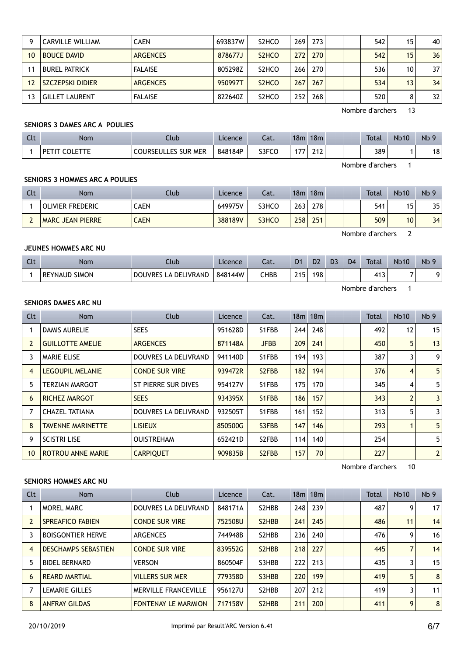|    | <b>CARVILLE WILLIAM</b> | <b>CAEN</b>     | 693837W | S <sub>2</sub> HCO             | 269 | 273 |  | 542 | 15 | 40              |
|----|-------------------------|-----------------|---------|--------------------------------|-----|-----|--|-----|----|-----------------|
| 10 | <b>BOUCE DAVID</b>      | <b>ARGENCES</b> | 878677J | S <sub>2</sub> H <sub>CO</sub> | 272 | 270 |  | 542 | 15 | 36              |
|    | BUREL PATRICK           | <b>FALAISE</b>  | 805298Z | S <sub>2</sub> HCO             | 266 | 270 |  | 536 | 10 | 37 <sup>2</sup> |
| 12 | <b>SZCZEPSKI DIDIER</b> | <b>ARGENCES</b> | 950997T | S <sub>2</sub> H <sub>CO</sub> | 267 | 267 |  | 534 | 13 | 34              |
| 13 | <b>GILLET LAURENT</b>   | <b>FALAISE</b>  | 822640Z | S <sub>2</sub> HCO             | 252 | 268 |  | 520 | 8  | 32              |

## SENIORS 3 DAMES ARC A POULIES

| Clt              | <b>Nom</b>    | Club                       | Licence | Cat.  | 18m | 18m |  |  | <b>Total</b> | <b>Nb10</b> | Nb <sub>9</sub> |
|------------------|---------------|----------------------------|---------|-------|-----|-----|--|--|--------------|-------------|-----------------|
|                  | PETIT COLETTE | <b>COURSEULLES SUR MER</b> | 848184P | S3FCO |     | 212 |  |  | 389          |             | 18              |
| Nombre d'archers |               |                            |         |       |     |     |  |  |              |             |                 |

#### SENIORS 3 HOMMES ARC A POULIES

| Clt | <b>Nom</b>              | Club        | Licence | Cat.  | 18 <sub>m</sub> | 18 <sub>m</sub> | <b>Total</b> | <b>Nb10</b> | Nb <sub>9</sub> |
|-----|-------------------------|-------------|---------|-------|-----------------|-----------------|--------------|-------------|-----------------|
|     | <b>OLIVIER FREDERIC</b> | <b>CAEN</b> | 649975V | S3HCO | 263             | 278             | 541          |             | 35              |
|     | <b>MARC JEAN PIERRE</b> | <b>CAEN</b> | 388189V | S3HCO | 258             | 251             | 509          | 0           | 34              |

Nombre d'archers 2

#### JEUNES HOMMES ARC NU

| $\sim$<br>ิเเ | <b>Nom</b>                     | Club                                             | Licence | ົດ 1<br>Jau. | D <sub>1</sub> | D <sub>2</sub> | D <sub>3</sub> | D <sub>4</sub> | <b>Total</b>    | <b>Nb10</b> | Nb <sub>9</sub> |
|---------------|--------------------------------|--------------------------------------------------|---------|--------------|----------------|----------------|----------------|----------------|-----------------|-------------|-----------------|
|               | <b>SIMON</b><br><b>REYNAUD</b> | LIVRAND<br><b>DOUVRES</b><br>DEI<br>$\mathbf{v}$ | 848144W | СНВВ         | 215            | 198            |                |                | $\cdots$<br>د41 | –           |                 |

Nombre d'archers 1

## SENIORS DAMES ARC NU

| Clt | Nom                      | <b>Club</b>           | Licence | Cat.                            |     | 18 <sub>m</sub> 18 <sub>m</sub> |  | <b>Total</b> | <b>Nb10</b>    | Nb <sub>9</sub> |
|-----|--------------------------|-----------------------|---------|---------------------------------|-----|---------------------------------|--|--------------|----------------|-----------------|
|     | <b>DAMIS AURELIE</b>     | <b>SEES</b>           | 951628D | S1FBB                           | 244 | 248                             |  | 492          | 12             | 15              |
| 2   | <b>GUILLOTTE AMELIE</b>  | <b>ARGENCES</b>       | 871148A | <b>JFBB</b>                     | 209 | 241                             |  | 450          | 5              | 13              |
| 3   | <b>MARIE ELISE</b>       | DOUVRES LA DELIVRAND  | 941140D | S1FBB                           | 194 | 193                             |  | 387          |                | 9 <sup>1</sup>  |
| 4   | <b>LEGOUPIL MELANIE</b>  | <b>CONDE SUR VIRE</b> | 939472R | S <sub>2</sub> F <sub>B</sub> B | 182 | 194                             |  | 376          | 4              | 5 <sub>l</sub>  |
| 5   | <b>TERZIAN MARGOT</b>    | ST PIERRE SUR DIVES   | 954127V | S1FBB                           | 175 | 170                             |  | 345          | 4              | 5 <sup>1</sup>  |
| 6   | <b>RICHEZ MARGOT</b>     | <b>SEES</b>           | 934395X | S1FBB                           | 186 | 157                             |  | 343          | $\overline{2}$ | 3 <sup>1</sup>  |
|     | <b>CHAZEL TATIANA</b>    | DOUVRES LA DELIVRAND  | 932505T | S1FBB                           | 161 | 152                             |  | 313          | 5              | 3               |
| 8   | <b>TAVENNE MARINETTE</b> | <b>LISIEUX</b>        | 850500G | S3FBB                           | 147 | 146                             |  | 293          |                | 5 <sup>1</sup>  |
| 9   | <b>SCISTRI LISE</b>      | <b>OUISTREHAM</b>     | 652421D | S2FBB                           | 114 | 140                             |  | 254          |                | 5 <sup>1</sup>  |
| 10  | <b>ROTROU ANNE MARIE</b> | <b>CARPIQUET</b>      | 909835B | S <sub>2</sub> F <sub>B</sub> B | 157 | 70                              |  | 227          |                | 2 <sup>1</sup>  |

Nombre d'archers 10

#### SENIORS HOMMES ARC NU

| Clt | Nom                        | Club                        | Licence | Cat.                            |     | 18m 18m |  | <b>Total</b> | <b>Nb10</b> | Nb <sub>9</sub> |
|-----|----------------------------|-----------------------------|---------|---------------------------------|-----|---------|--|--------------|-------------|-----------------|
|     | <b>MOREL MARC</b>          | DOUVRES LA DELIVRAND        | 848171A | S <sub>2</sub> H <sub>B</sub> B | 248 | 239     |  | 487          | 9           | 17              |
|     | <b>SPREAFICO FABIEN</b>    | <b>CONDE SUR VIRE</b>       | 752508U | S <sub>2</sub> H <sub>B</sub> B | 241 | 245     |  | 486          | 11          | 14              |
|     | <b>BOISGONTIER HERVE</b>   | <b>ARGENCES</b>             | 744948B | S <sub>2</sub> H <sub>B</sub> B | 236 | 240     |  | 476          | 9           | 16              |
| 4   | <b>DESCHAMPS SEBASTIEN</b> | <b>CONDE SUR VIRE</b>       | 839552G | S <sub>2</sub> H <sub>B</sub> B | 218 | 227     |  | 445          |             | 14              |
| 5   | <b>BIDEL BERNARD</b>       | <b>VERSON</b>               | 860504F | S3HBB                           | 222 | 213     |  | 435          | 3           | 15              |
| 6   | REARD MARTIAL              | <b>VILLERS SUR MER</b>      | 779358D | S3HBB                           | 220 | 199     |  | 419          | 5           | 8               |
|     | <b>LEMARIE GILLES</b>      | <b>MERVILLE FRANCEVILLE</b> | 956127U | S2HBB                           | 207 | 212     |  | 419          | 3           | 11              |
| 8   | <b>ANFRAY GILDAS</b>       | <b>FONTENAY LE MARMION</b>  | 717158V | S <sub>2</sub> H <sub>B</sub> B | 211 | 200     |  | 411          | 9           | 8               |